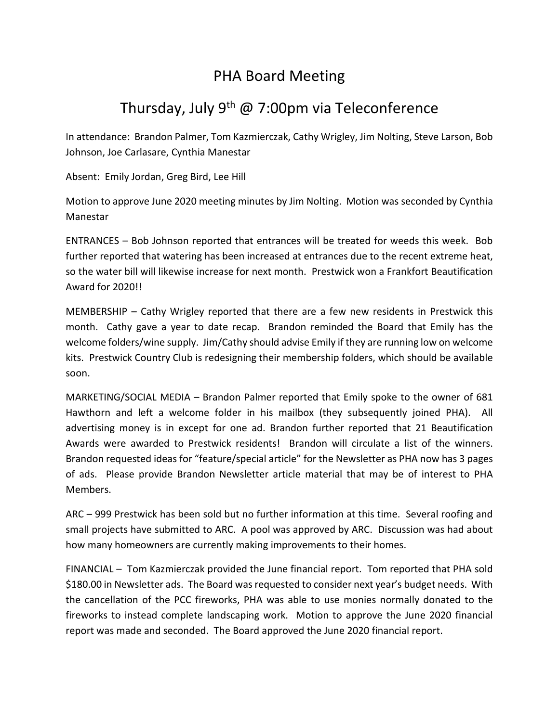## PHA Board Meeting

## Thursday, July  $9^{th}$  @ 7:00pm via Teleconference

In attendance: Brandon Palmer, Tom Kazmierczak, Cathy Wrigley, Jim Nolting, Steve Larson, Bob Johnson, Joe Carlasare, Cynthia Manestar

Absent: Emily Jordan, Greg Bird, Lee Hill

Motion to approve June 2020 meeting minutes by Jim Nolting. Motion was seconded by Cynthia Manestar

ENTRANCES – Bob Johnson reported that entrances will be treated for weeds this week. Bob further reported that watering has been increased at entrances due to the recent extreme heat, so the water bill will likewise increase for next month. Prestwick won a Frankfort Beautification Award for 2020!!

MEMBERSHIP – Cathy Wrigley reported that there are a few new residents in Prestwick this month. Cathy gave a year to date recap. Brandon reminded the Board that Emily has the welcome folders/wine supply. Jim/Cathy should advise Emily if they are running low on welcome kits. Prestwick Country Club is redesigning their membership folders, which should be available soon.

MARKETING/SOCIAL MEDIA – Brandon Palmer reported that Emily spoke to the owner of 681 Hawthorn and left a welcome folder in his mailbox (they subsequently joined PHA). All advertising money is in except for one ad. Brandon further reported that 21 Beautification Awards were awarded to Prestwick residents! Brandon will circulate a list of the winners. Brandon requested ideas for "feature/special article" for the Newsletter as PHA now has 3 pages of ads. Please provide Brandon Newsletter article material that may be of interest to PHA Members.

ARC – 999 Prestwick has been sold but no further information at this time. Several roofing and small projects have submitted to ARC. A pool was approved by ARC. Discussion was had about how many homeowners are currently making improvements to their homes.

FINANCIAL – Tom Kazmierczak provided the June financial report. Tom reported that PHA sold \$180.00 in Newsletter ads. The Board was requested to consider next year's budget needs. With the cancellation of the PCC fireworks, PHA was able to use monies normally donated to the fireworks to instead complete landscaping work. Motion to approve the June 2020 financial report was made and seconded. The Board approved the June 2020 financial report.